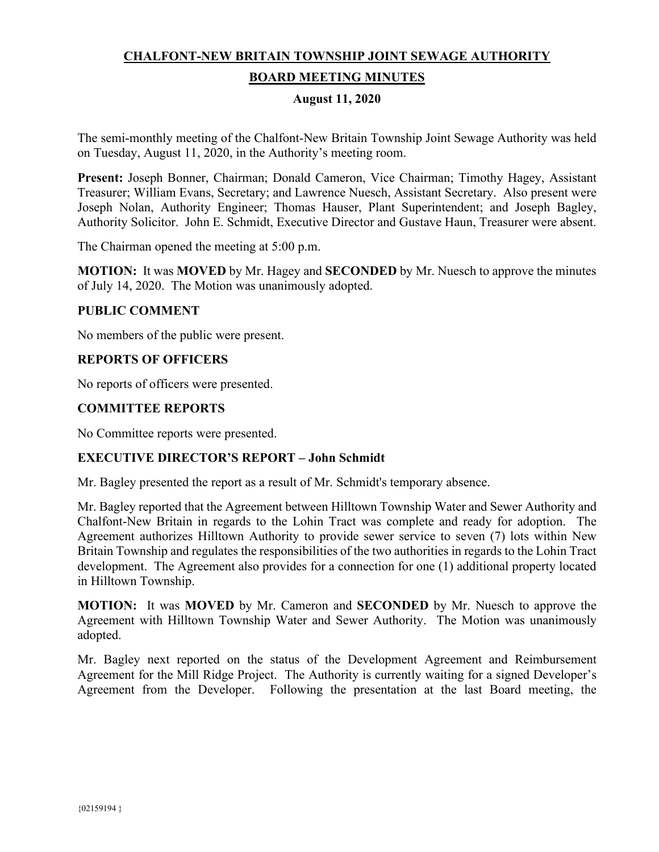# **CHALFONT-NEW BRITAIN TOWNSHIP JOINT SEWAGE AUTHORITY BOARD MEETING MINUTES**

#### **August 11, 2020**

The semi-monthly meeting of the Chalfont-New Britain Township Joint Sewage Authority was held on Tuesday, August 11, 2020, in the Authority's meeting room.

**Present:** Joseph Bonner, Chairman; Donald Cameron, Vice Chairman; Timothy Hagey, Assistant Treasurer; William Evans, Secretary; and Lawrence Nuesch, Assistant Secretary. Also present were Joseph Nolan, Authority Engineer; Thomas Hauser, Plant Superintendent; and Joseph Bagley, Authority Solicitor. John E. Schmidt, Executive Director and Gustave Haun, Treasurer were absent.

The Chairman opened the meeting at 5:00 p.m.

**MOTION:** It was **MOVED** by Mr. Hagey and **SECONDED** by Mr. Nuesch to approve the minutes of July 14, 2020. The Motion was unanimously adopted.

### **PUBLIC COMMENT**

No members of the public were present.

### **REPORTS OF OFFICERS**

No reports of officers were presented.

### **COMMITTEE REPORTS**

No Committee reports were presented.

### **EXECUTIVE DIRECTOR'S REPORT – John Schmidt**

Mr. Bagley presented the report as a result of Mr. Schmidt's temporary absence.

Mr. Bagley reported that the Agreement between Hilltown Township Water and Sewer Authority and Chalfont-New Britain in regards to the Lohin Tract was complete and ready for adoption. The Agreement authorizes Hilltown Authority to provide sewer service to seven (7) lots within New Britain Township and regulates the responsibilities of the two authorities in regards to the Lohin Tract development. The Agreement also provides for a connection for one (1) additional property located in Hilltown Township.

**MOTION:** It was **MOVED** by Mr. Cameron and **SECONDED** by Mr. Nuesch to approve the Agreement with Hilltown Township Water and Sewer Authority. The Motion was unanimously adopted.

Mr. Bagley next reported on the status of the Development Agreement and Reimbursement Agreement for the Mill Ridge Project. The Authority is currently waiting for a signed Developer's Agreement from the Developer. Following the presentation at the last Board meeting, the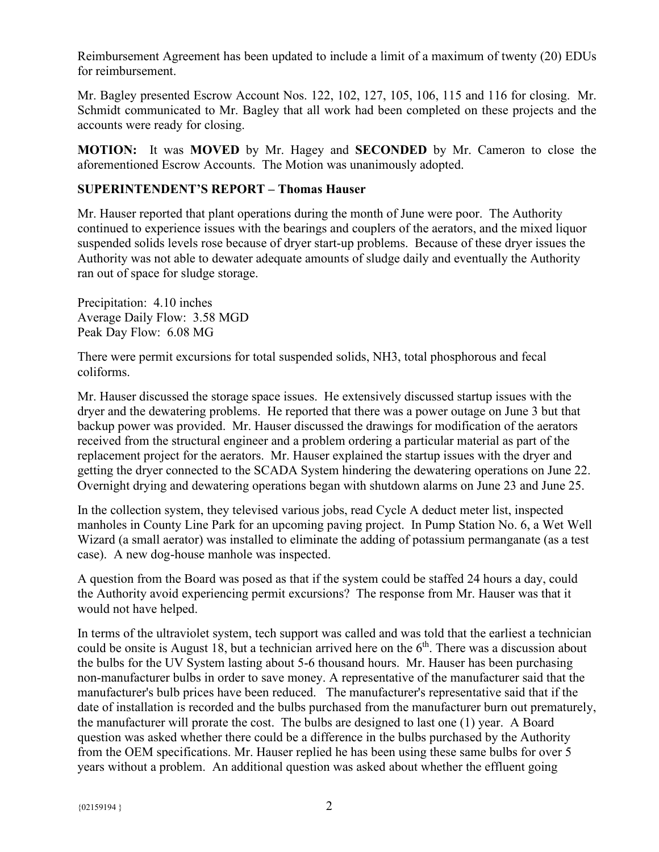Reimbursement Agreement has been updated to include a limit of a maximum of twenty (20) EDUs for reimbursement.

Mr. Bagley presented Escrow Account Nos. 122, 102, 127, 105, 106, 115 and 116 for closing. Mr. Schmidt communicated to Mr. Bagley that all work had been completed on these projects and the accounts were ready for closing.

**MOTION:** It was **MOVED** by Mr. Hagey and **SECONDED** by Mr. Cameron to close the aforementioned Escrow Accounts. The Motion was unanimously adopted.

# **SUPERINTENDENT'S REPORT – Thomas Hauser**

Mr. Hauser reported that plant operations during the month of June were poor. The Authority continued to experience issues with the bearings and couplers of the aerators, and the mixed liquor suspended solids levels rose because of dryer start-up problems. Because of these dryer issues the Authority was not able to dewater adequate amounts of sludge daily and eventually the Authority ran out of space for sludge storage.

Precipitation: 4.10 inches Average Daily Flow: 3.58 MGD Peak Day Flow: 6.08 MG

There were permit excursions for total suspended solids, NH3, total phosphorous and fecal coliforms.

Mr. Hauser discussed the storage space issues. He extensively discussed startup issues with the dryer and the dewatering problems. He reported that there was a power outage on June 3 but that backup power was provided. Mr. Hauser discussed the drawings for modification of the aerators received from the structural engineer and a problem ordering a particular material as part of the replacement project for the aerators. Mr. Hauser explained the startup issues with the dryer and getting the dryer connected to the SCADA System hindering the dewatering operations on June 22. Overnight drying and dewatering operations began with shutdown alarms on June 23 and June 25.

In the collection system, they televised various jobs, read Cycle A deduct meter list, inspected manholes in County Line Park for an upcoming paving project. In Pump Station No. 6, a Wet Well Wizard (a small aerator) was installed to eliminate the adding of potassium permanganate (as a test case). A new dog-house manhole was inspected.

A question from the Board was posed as that if the system could be staffed 24 hours a day, could the Authority avoid experiencing permit excursions? The response from Mr. Hauser was that it would not have helped.

In terms of the ultraviolet system, tech support was called and was told that the earliest a technician could be onsite is August 18, but a technician arrived here on the  $6<sup>th</sup>$ . There was a discussion about the bulbs for the UV System lasting about 5-6 thousand hours. Mr. Hauser has been purchasing non-manufacturer bulbs in order to save money. A representative of the manufacturer said that the manufacturer's bulb prices have been reduced. The manufacturer's representative said that if the date of installation is recorded and the bulbs purchased from the manufacturer burn out prematurely, the manufacturer will prorate the cost. The bulbs are designed to last one (1) year. A Board question was asked whether there could be a difference in the bulbs purchased by the Authority from the OEM specifications. Mr. Hauser replied he has been using these same bulbs for over 5 years without a problem. An additional question was asked about whether the effluent going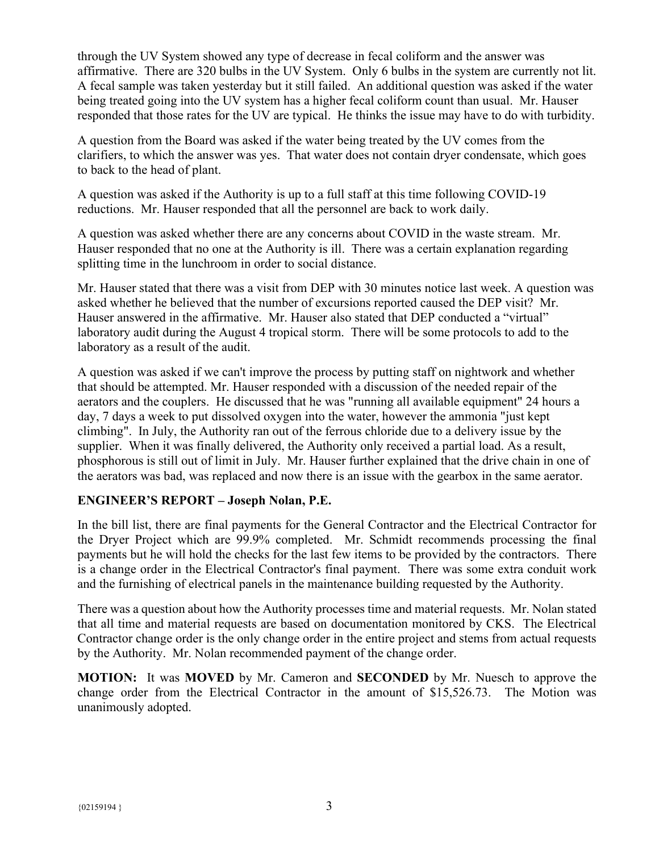through the UV System showed any type of decrease in fecal coliform and the answer was affirmative. There are 320 bulbs in the UV System. Only 6 bulbs in the system are currently not lit. A fecal sample was taken yesterday but it still failed. An additional question was asked if the water being treated going into the UV system has a higher fecal coliform count than usual. Mr. Hauser responded that those rates for the UV are typical. He thinks the issue may have to do with turbidity.

A question from the Board was asked if the water being treated by the UV comes from the clarifiers, to which the answer was yes. That water does not contain dryer condensate, which goes to back to the head of plant.

A question was asked if the Authority is up to a full staff at this time following COVID-19 reductions. Mr. Hauser responded that all the personnel are back to work daily.

A question was asked whether there are any concerns about COVID in the waste stream. Mr. Hauser responded that no one at the Authority is ill. There was a certain explanation regarding splitting time in the lunchroom in order to social distance.

Mr. Hauser stated that there was a visit from DEP with 30 minutes notice last week. A question was asked whether he believed that the number of excursions reported caused the DEP visit? Mr. Hauser answered in the affirmative. Mr. Hauser also stated that DEP conducted a "virtual" laboratory audit during the August 4 tropical storm. There will be some protocols to add to the laboratory as a result of the audit.

A question was asked if we can't improve the process by putting staff on nightwork and whether that should be attempted. Mr. Hauser responded with a discussion of the needed repair of the aerators and the couplers. He discussed that he was "running all available equipment" 24 hours a day, 7 days a week to put dissolved oxygen into the water, however the ammonia "just kept climbing". In July, the Authority ran out of the ferrous chloride due to a delivery issue by the supplier. When it was finally delivered, the Authority only received a partial load. As a result, phosphorous is still out of limit in July. Mr. Hauser further explained that the drive chain in one of the aerators was bad, was replaced and now there is an issue with the gearbox in the same aerator.

# **ENGINEER'S REPORT – Joseph Nolan, P.E.**

In the bill list, there are final payments for the General Contractor and the Electrical Contractor for the Dryer Project which are 99.9% completed. Mr. Schmidt recommends processing the final payments but he will hold the checks for the last few items to be provided by the contractors. There is a change order in the Electrical Contractor's final payment. There was some extra conduit work and the furnishing of electrical panels in the maintenance building requested by the Authority.

There was a question about how the Authority processes time and material requests. Mr. Nolan stated that all time and material requests are based on documentation monitored by CKS. The Electrical Contractor change order is the only change order in the entire project and stems from actual requests by the Authority. Mr. Nolan recommended payment of the change order.

**MOTION:** It was **MOVED** by Mr. Cameron and **SECONDED** by Mr. Nuesch to approve the change order from the Electrical Contractor in the amount of \$15,526.73. The Motion was unanimously adopted.